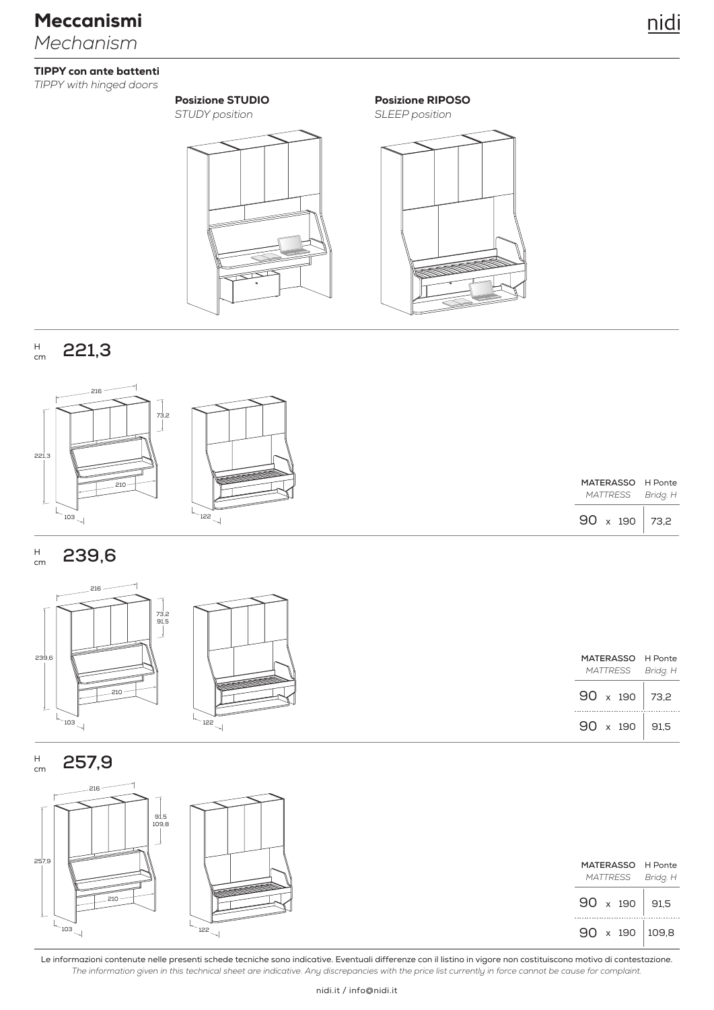# *Mechanism* Meccanismi

### TIPPY con ante battenti

*TIPPY with hinged doors*

*STUDY position*

Posizione STUDIO

### Posizione RIPOSO

*SLEEP position*



#### **221,3** H cm



| MATERASSO       |                     | H Ponte  |  |
|-----------------|---------------------|----------|--|
| <b>MATTRESS</b> |                     | Bridg. H |  |
| 90              | 190<br>$\mathsf{x}$ | 73.2     |  |

#### **239,6** H cm



**257,9** H cm



*The information given in this technical sheet are indicative. Any discrepancies with the price list currently in force cannot be cause for complaint.* Le informazioni contenute nelle presenti schede tecniche sono indicative. Eventuali differenze con il listino in vigore non costituiscono motivo di contestazione.